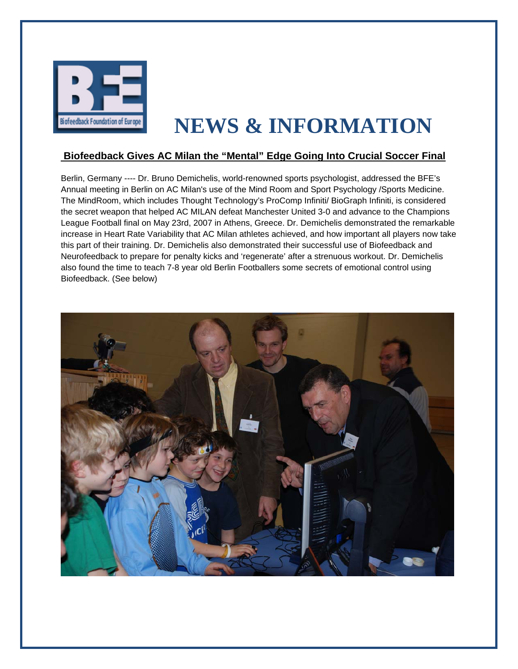

## **NEWS & INFORMATION**

## **Biofeedback Gives AC Milan the "Mental" Edge Going Into Crucial Soccer Final**

Berlin, Germany ---- Dr. Bruno Demichelis, world-renowned sports psychologist, addressed the BFE's Annual meeting in Berlin on AC Milan's use of the Mind Room and Sport Psychology /Sports Medicine. The MindRoom, which includes Thought Technology's ProComp Infiniti/ BioGraph Infiniti, is considered the secret weapon that helped AC MILAN defeat Manchester United 3-0 and advance to the Champions League Football final on May 23rd, 2007 in Athens, Greece. Dr. Demichelis demonstrated the remarkable increase in Heart Rate Variability that AC Milan athletes achieved, and how important all players now take this part of their training. Dr. Demichelis also demonstrated their successful use of Biofeedback and Neurofeedback to prepare for penalty kicks and 'regenerate' after a strenuous workout. Dr. Demichelis also found the time to teach 7-8 year old Berlin Footballers some secrets of emotional control using Biofeedback. (See below)